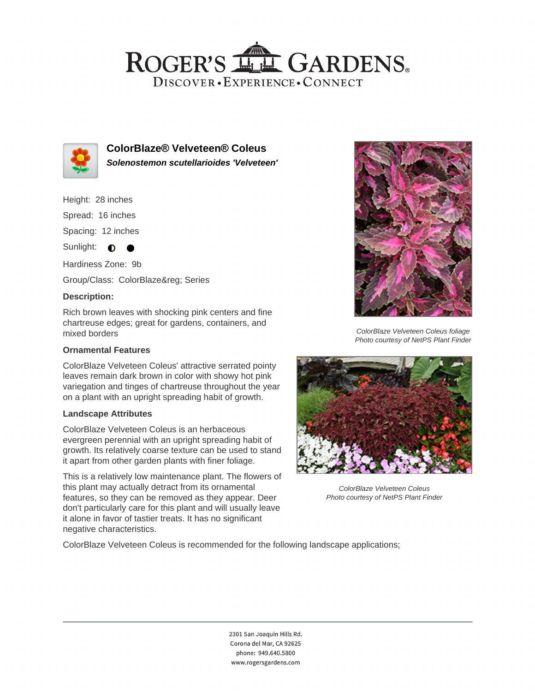## ROGER'S LL GARDENS. DISCOVER · EXPERIENCE · CONNECT



**ColorBlaze® Velveteen® Coleus Solenostemon scutellarioides 'Velveteen'**

Height: 28 inches

Spread: 16 inches

Spacing: 12 inches

Sunlight:  $\bullet$ 

Hardiness Zone: 9b

Group/Class: ColorBlaze® Series

●

#### **Description:**

Rich brown leaves with shocking pink centers and fine chartreuse edges; great for gardens, containers, and mixed borders

#### **Ornamental Features**

ColorBlaze Velveteen Coleus' attractive serrated pointy leaves remain dark brown in color with showy hot pink variegation and tinges of chartreuse throughout the year on a plant with an upright spreading habit of growth.

#### **Landscape Attributes**

ColorBlaze Velveteen Coleus is an herbaceous evergreen perennial with an upright spreading habit of growth. Its relatively coarse texture can be used to stand it apart from other garden plants with finer foliage.

This is a relatively low maintenance plant. The flowers of this plant may actually detract from its ornamental features, so they can be removed as they appear. Deer don't particularly care for this plant and will usually leave it alone in favor of tastier treats. It has no significant negative characteristics.



ColorBlaze Velveteen Coleus foliage Photo courtesy of NetPS Plant Finder



ColorBlaze Velveteen Coleus Photo courtesy of NetPS Plant Finder

ColorBlaze Velveteen Coleus is recommended for the following landscape applications;

2301 San Joaquin Hills Rd. Corona del Mar, CA 92625 phone: 949.640.5800 www.rogersgardens.com